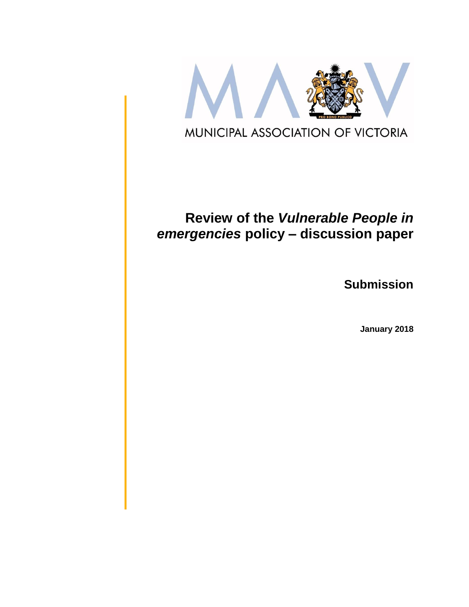

# **Review of the** *Vulnerable People in emergencies* **policy – discussion paper**

**Submission**

**January 2018**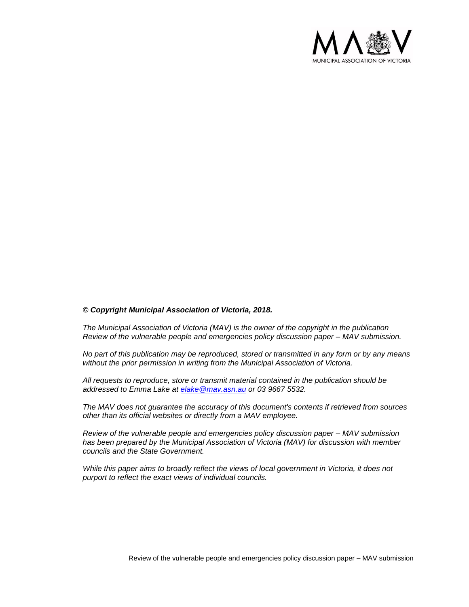

#### *© Copyright Municipal Association of Victoria, 2018.*

*The Municipal Association of Victoria (MAV) is the owner of the copyright in the publication Review of the vulnerable people and emergencies policy discussion paper – MAV submission.* 

*No part of this publication may be reproduced, stored or transmitted in any form or by any means without the prior permission in writing from the Municipal Association of Victoria.* 

*All requests to reproduce, store or transmit material contained in the publication should be addressed to Emma Lake at [elake@mav.asn.au](mailto:elake@mav.asn.au) or 03 9667 5532.* 

*The MAV does not guarantee the accuracy of this document's contents if retrieved from sources other than its official websites or directly from a MAV employee.*

*Review of the vulnerable people and emergencies policy discussion paper – MAV submission has been prepared by the Municipal Association of Victoria (MAV) for discussion with member councils and the State Government.*

*While this paper aims to broadly reflect the views of local government in Victoria, it does not purport to reflect the exact views of individual councils.*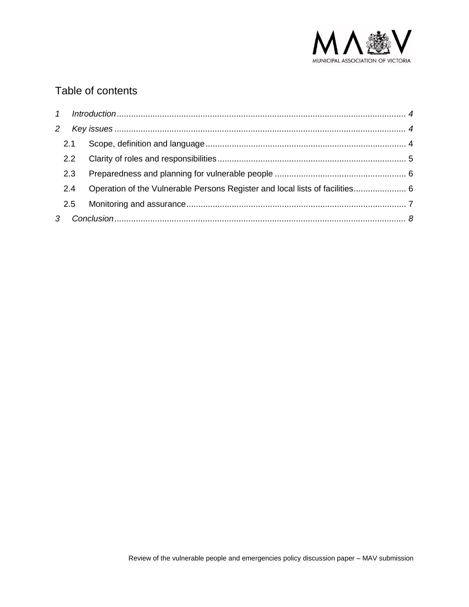

## Table of contents

| $\mathbf{2}$ |     |                                                                              |  |
|--------------|-----|------------------------------------------------------------------------------|--|
|              | 2.1 |                                                                              |  |
|              | 2.2 |                                                                              |  |
|              | 2.3 |                                                                              |  |
|              | 2.4 | Operation of the Vulnerable Persons Register and local lists of facilities 6 |  |
|              | 2.5 |                                                                              |  |
|              |     |                                                                              |  |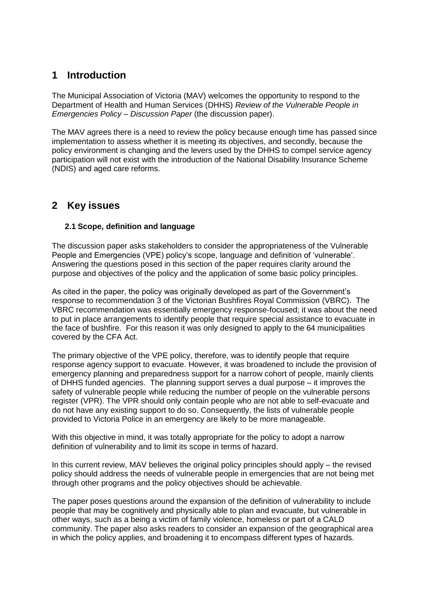### <span id="page-3-0"></span>**1 Introduction**

The Municipal Association of Victoria (MAV) welcomes the opportunity to respond to the Department of Health and Human Services (DHHS) *Review of the Vulnerable People in Emergencies Policy – Discussion Paper* (the discussion paper).

<span id="page-3-1"></span>The MAV agrees there is a need to review the policy because enough time has passed since implementation to assess whether it is meeting its objectives, and secondly, because the policy environment is changing and the levers used by the DHHS to compel service agency participation will not exist with the introduction of the National Disability Insurance Scheme (NDIS) and aged care reforms.

### <span id="page-3-2"></span>**2 Key issues**

### **2.1 Scope, definition and language**

The discussion paper asks stakeholders to consider the appropriateness of the Vulnerable People and Emergencies (VPE) policy's scope, language and definition of 'vulnerable'. Answering the questions posed in this section of the paper requires clarity around the purpose and objectives of the policy and the application of some basic policy principles.

As cited in the paper, the policy was originally developed as part of the Government's response to recommendation 3 of the Victorian Bushfires Royal Commission (VBRC). The VBRC recommendation was essentially emergency response-focused; it was about the need to put in place arrangements to identify people that require special assistance to evacuate in the face of bushfire. For this reason it was only designed to apply to the 64 municipalities covered by the CFA Act.

The primary objective of the VPE policy, therefore, was to identify people that require response agency support to evacuate. However, it was broadened to include the provision of emergency planning and preparedness support for a narrow cohort of people, mainly clients of DHHS funded agencies. The planning support serves a dual purpose – it improves the safety of vulnerable people while reducing the number of people on the vulnerable persons register (VPR). The VPR should only contain people who are not able to self-evacuate and do not have any existing support to do so. Consequently, the lists of vulnerable people provided to Victoria Police in an emergency are likely to be more manageable.

With this objective in mind, it was totally appropriate for the policy to adopt a narrow definition of vulnerability and to limit its scope in terms of hazard.

In this current review, MAV believes the original policy principles should apply – the revised policy should address the needs of vulnerable people in emergencies that are not being met through other programs and the policy objectives should be achievable.

The paper poses questions around the expansion of the definition of vulnerability to include people that may be cognitively and physically able to plan and evacuate, but vulnerable in other ways, such as a being a victim of family violence, homeless or part of a CALD community. The paper also asks readers to consider an expansion of the geographical area in which the policy applies, and broadening it to encompass different types of hazards.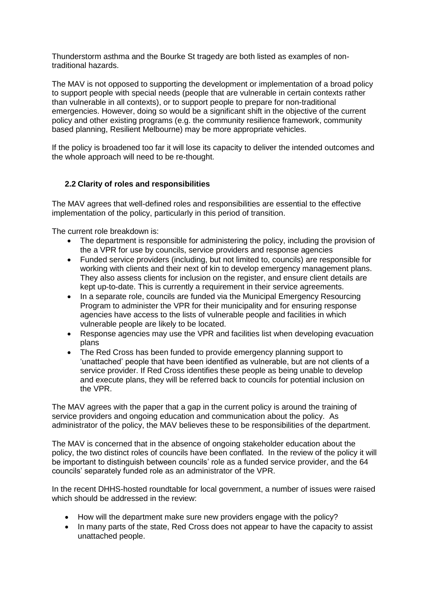Thunderstorm asthma and the Bourke St tragedy are both listed as examples of nontraditional hazards.

The MAV is not opposed to supporting the development or implementation of a broad policy to support people with special needs (people that are vulnerable in certain contexts rather than vulnerable in all contexts), or to support people to prepare for non-traditional emergencies. However, doing so would be a significant shift in the objective of the current policy and other existing programs (e.g. the community resilience framework, community based planning, Resilient Melbourne) may be more appropriate vehicles.

<span id="page-4-0"></span>If the policy is broadened too far it will lose its capacity to deliver the intended outcomes and the whole approach will need to be re-thought.

#### **2.2 Clarity of roles and responsibilities**

The MAV agrees that well-defined roles and responsibilities are essential to the effective implementation of the policy, particularly in this period of transition.

The current role breakdown is:

- The department is responsible for administering the policy, including the provision of the a VPR for use by councils, service providers and response agencies
- Funded service providers (including, but not limited to, councils) are responsible for working with clients and their next of kin to develop emergency management plans. They also assess clients for inclusion on the register, and ensure client details are kept up-to-date. This is currently a requirement in their service agreements.
- In a separate role, councils are funded via the Municipal Emergency Resourcing Program to administer the VPR for their municipality and for ensuring response agencies have access to the lists of vulnerable people and facilities in which vulnerable people are likely to be located.
- Response agencies may use the VPR and facilities list when developing evacuation plans
- The Red Cross has been funded to provide emergency planning support to 'unattached' people that have been identified as vulnerable, but are not clients of a service provider. If Red Cross identifies these people as being unable to develop and execute plans, they will be referred back to councils for potential inclusion on the VPR.

The MAV agrees with the paper that a gap in the current policy is around the training of service providers and ongoing education and communication about the policy. As administrator of the policy, the MAV believes these to be responsibilities of the department.

The MAV is concerned that in the absence of ongoing stakeholder education about the policy, the two distinct roles of councils have been conflated. In the review of the policy it will be important to distinguish between councils' role as a funded service provider, and the 64 councils' separately funded role as an administrator of the VPR.

In the recent DHHS-hosted roundtable for local government, a number of issues were raised which should be addressed in the review:

- How will the department make sure new providers engage with the policy?
- In many parts of the state, Red Cross does not appear to have the capacity to assist unattached people.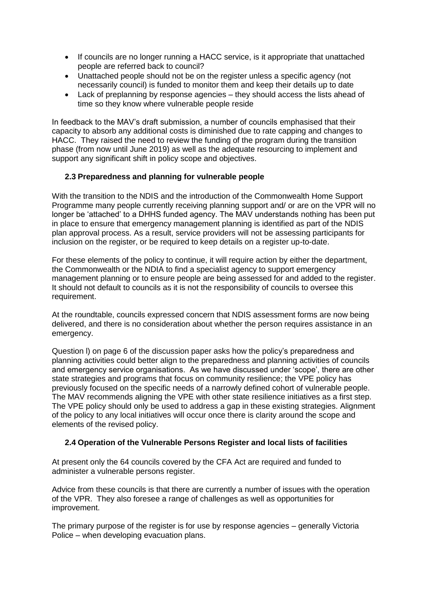- If councils are no longer running a HACC service, is it appropriate that unattached people are referred back to council?
- Unattached people should not be on the register unless a specific agency (not necessarily council) is funded to monitor them and keep their details up to date
- Lack of preplanning by response agencies they should access the lists ahead of time so they know where vulnerable people reside

<span id="page-5-0"></span>In feedback to the MAV's draft submission, a number of councils emphasised that their capacity to absorb any additional costs is diminished due to rate capping and changes to HACC. They raised the need to review the funding of the program during the transition phase (from now until June 2019) as well as the adequate resourcing to implement and support any significant shift in policy scope and objectives.

#### **2.3 Preparedness and planning for vulnerable people**

With the transition to the NDIS and the introduction of the Commonwealth Home Support Programme many people currently receiving planning support and/ or are on the VPR will no longer be 'attached' to a DHHS funded agency. The MAV understands nothing has been put in place to ensure that emergency management planning is identified as part of the NDIS plan approval process. As a result, service providers will not be assessing participants for inclusion on the register, or be required to keep details on a register up-to-date.

For these elements of the policy to continue, it will require action by either the department, the Commonwealth or the NDIA to find a specialist agency to support emergency management planning or to ensure people are being assessed for and added to the register. It should not default to councils as it is not the responsibility of councils to oversee this requirement.

At the roundtable, councils expressed concern that NDIS assessment forms are now being delivered, and there is no consideration about whether the person requires assistance in an emergency.

Question l) on page 6 of the discussion paper asks how the policy's preparedness and planning activities could better align to the preparedness and planning activities of councils and emergency service organisations. As we have discussed under 'scope', there are other state strategies and programs that focus on community resilience; the VPE policy has previously focused on the specific needs of a narrowly defined cohort of vulnerable people. The MAV recommends aligning the VPE with other state resilience initiatives as a first step. The VPE policy should only be used to address a gap in these existing strategies. Alignment of the policy to any local initiatives will occur once there is clarity around the scope and elements of the revised policy.

#### <span id="page-5-1"></span>**2.4 Operation of the Vulnerable Persons Register and local lists of facilities**

At present only the 64 councils covered by the CFA Act are required and funded to administer a vulnerable persons register.

Advice from these councils is that there are currently a number of issues with the operation of the VPR. They also foresee a range of challenges as well as opportunities for improvement.

The primary purpose of the register is for use by response agencies – generally Victoria Police – when developing evacuation plans.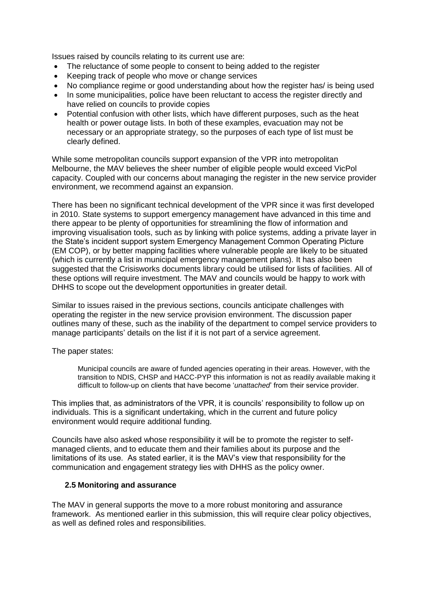Issues raised by councils relating to its current use are:

- The reluctance of some people to consent to being added to the register
- Keeping track of people who move or change services
- No compliance regime or good understanding about how the register has/ is being used
- In some municipalities, police have been reluctant to access the register directly and have relied on councils to provide copies
- Potential confusion with other lists, which have different purposes, such as the heat health or power outage lists. In both of these examples, evacuation may not be necessary or an appropriate strategy, so the purposes of each type of list must be clearly defined.

While some metropolitan councils support expansion of the VPR into metropolitan Melbourne, the MAV believes the sheer number of eligible people would exceed VicPol capacity. Coupled with our concerns about managing the register in the new service provider environment, we recommend against an expansion.

There has been no significant technical development of the VPR since it was first developed in 2010. State systems to support emergency management have advanced in this time and there appear to be plenty of opportunities for streamlining the flow of information and improving visualisation tools, such as by linking with police systems, adding a private layer in the State's incident support system Emergency Management Common Operating Picture (EM COP), or by better mapping facilities where vulnerable people are likely to be situated (which is currently a list in municipal emergency management plans). It has also been suggested that the Crisisworks documents library could be utilised for lists of facilities. All of these options will require investment. The MAV and councils would be happy to work with DHHS to scope out the development opportunities in greater detail.

Similar to issues raised in the previous sections, councils anticipate challenges with operating the register in the new service provision environment. The discussion paper outlines many of these, such as the inability of the department to compel service providers to manage participants' details on the list if it is not part of a service agreement.

The paper states:

Municipal councils are aware of funded agencies operating in their areas. However, with the transition to NDIS, CHSP and HACC-PYP this information is not as readily available making it difficult to follow-up on clients that have become '*unattached*' from their service provider.

This implies that, as administrators of the VPR, it is councils' responsibility to follow up on individuals. This is a significant undertaking, which in the current and future policy environment would require additional funding.

<span id="page-6-0"></span>Councils have also asked whose responsibility it will be to promote the register to selfmanaged clients, and to educate them and their families about its purpose and the limitations of its use. As stated earlier, it is the MAV's view that responsibility for the communication and engagement strategy lies with DHHS as the policy owner.

#### **2.5 Monitoring and assurance**

The MAV in general supports the move to a more robust monitoring and assurance framework. As mentioned earlier in this submission, this will require clear policy objectives, as well as defined roles and responsibilities.